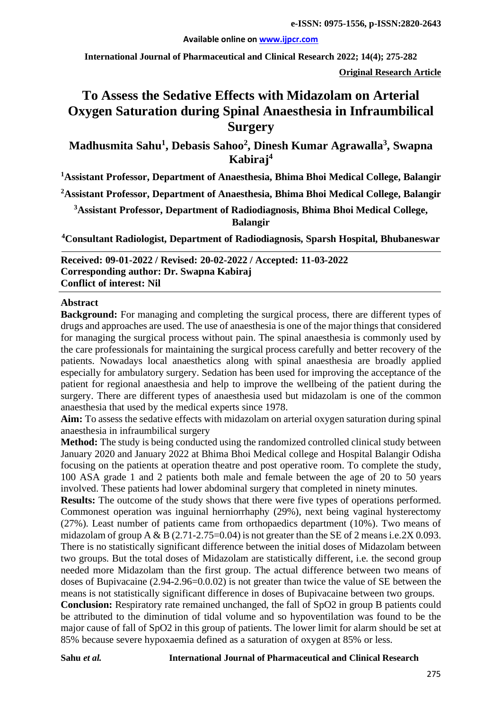#### **Available online on [www.ijpcr.com](http://www.ijpcr.com/)**

**International Journal of Pharmaceutical and Clinical Research 2022; 14(4); 275-282**

**Original Research Article**

# **To Assess the Sedative Effects with Midazolam on Arterial Oxygen Saturation during Spinal Anaesthesia in Infraumbilical Surgery**

**Madhusmita Sahu1 , Debasis Sahoo2 , Dinesh Kumar Agrawalla3 , Swapna Kabiraj4**

**1 Assistant Professor, Department of Anaesthesia, Bhima Bhoi Medical College, Balangir**

**2 Assistant Professor, Department of Anaesthesia, Bhima Bhoi Medical College, Balangir**

**3 Assistant Professor, Department of Radiodiagnosis, Bhima Bhoi Medical College, Balangir**

**4 Consultant Radiologist, Department of Radiodiagnosis, Sparsh Hospital, Bhubaneswar**

**Received: 09-01-2022 / Revised: 20-02-2022 / Accepted: 11-03-2022 Corresponding author: Dr. Swapna Kabiraj Conflict of interest: Nil**

#### **Abstract**

**Background:** For managing and completing the surgical process, there are different types of drugs and approaches are used. The use of anaesthesia is one of the major things that considered for managing the surgical process without pain. The spinal anaesthesia is commonly used by the care professionals for maintaining the surgical process carefully and better recovery of the patients. Nowadays local anaesthetics along with spinal anaesthesia are broadly applied especially for ambulatory surgery. Sedation has been used for improving the acceptance of the patient for regional anaesthesia and help to improve the wellbeing of the patient during the surgery. There are different types of anaesthesia used but midazolam is one of the common anaesthesia that used by the medical experts since 1978.

**Aim:** To assess the sedative effects with midazolam on arterial oxygen saturation during spinal anaesthesia in infraumbilical surgery

**Method:** The study is being conducted using the randomized controlled clinical study between January 2020 and January 2022 at Bhima Bhoi Medical college and Hospital Balangir Odisha focusing on the patients at operation theatre and post operative room. To complete the study, 100 ASA grade 1 and 2 patients both male and female between the age of 20 to 50 years involved. These patients had lower abdominal surgery that completed in ninety minutes.

**Results:** The outcome of the study shows that there were five types of operations performed. Commonest operation was inguinal herniorrhaphy (29%), next being vaginal hysterectomy (27%). Least number of patients came from orthopaedics department (10%). Two means of midazolam of group A & B  $(2.71-2.75=0.04)$  is not greater than the SE of 2 means i.e.  $2X\,0.093$ . There is no statistically significant difference between the initial doses of Midazolam between two groups. But the total doses of Midazolam are statistically different, i.e. the second group needed more Midazolam than the first group. The actual difference between two means of doses of Bupivacaine (2.94-2.96=0.0.02) is not greater than twice the value of SE between the means is not statistically significant difference in doses of Bupivacaine between two groups.

**Conclusion:** Respiratory rate remained unchanged, the fall of SpO2 in group B patients could be attributed to the diminution of tidal volume and so hypoventilation was found to be the major cause of fall of SpO2 in this group of patients. The lower limit for alarm should be set at 85% because severe hypoxaemia defined as a saturation of oxygen at 85% or less.

#### **Sahu** *et al.* **International Journal of Pharmaceutical and Clinical Research**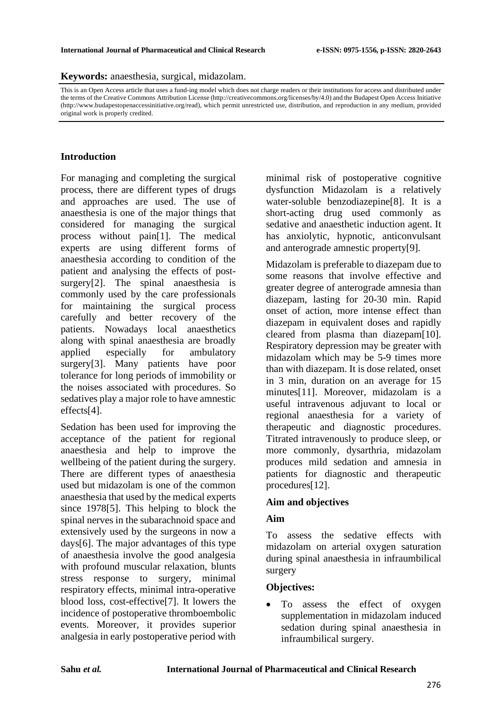**Keywords:** anaesthesia, surgical, midazolam.

This is an Open Access article that uses a fund-ing model which does not charge readers or their institutions for access and distributed under the terms of the Creative Commons Attribution License (http://creativecommons.org/licenses/by/4.0) and the Budapest Open Access Initiative (http://www.budapestopenaccessinitiative.org/read), which permit unrestricted use, distribution, and reproduction in any medium, provided original work is properly credited.

# **Introduction**

For managing and completing the surgical process, there are different types of drugs and approaches are used. The use of anaesthesia is one of the major things that considered for managing the surgical process without pain[1]. The medical experts are using different forms of anaesthesia according to condition of the patient and analysing the effects of postsurgery<sup>[2]</sup>. The spinal anaesthesia is commonly used by the care professionals for maintaining the surgical process carefully and better recovery of the patients. Nowadays local anaesthetics along with spinal anaesthesia are broadly applied especially for ambulatory surgery[3]. Many patients have poor tolerance for long periods of immobility or the noises associated with procedures. So sedatives play a major role to have amnestic effects[4].

Sedation has been used for improving the acceptance of the patient for regional anaesthesia and help to improve the wellbeing of the patient during the surgery. There are different types of anaesthesia used but midazolam is one of the common anaesthesia that used by the medical experts since 1978[5]. This helping to block the spinal nerves in the subarachnoid space and extensively used by the surgeons in now a days[6]. The major advantages of this type of anaesthesia involve the good analgesia with profound muscular relaxation, blunts stress response to surgery, minimal respiratory effects, minimal intra-operative blood loss, cost-effective[7]. It lowers the incidence of postoperative thromboembolic events. Moreover, it provides superior analgesia in early postoperative period with

minimal risk of postoperative cognitive dysfunction Midazolam is a relatively water-soluble benzodiazepine[8]. It is a short-acting drug used commonly as sedative and anaesthetic induction agent. It has anxiolytic, hypnotic, anticonvulsant and anterograde amnestic property[9].

Midazolam is preferable to diazepam due to some reasons that involve effective and greater degree of anterograde amnesia than diazepam, lasting for 20-30 min. Rapid onset of action, more intense effect than diazepam in equivalent doses and rapidly cleared from plasma than diazepam[10]. Respiratory depression may be greater with midazolam which may be 5-9 times more than with diazepam. It is dose related, onset in 3 min, duration on an average for 15 minutes[11]. Moreover, midazolam is a useful intravenous adjuvant to local or regional anaesthesia for a variety of therapeutic and diagnostic procedures. Titrated intravenously to produce sleep, or more commonly, dysarthria, midazolam produces mild sedation and amnesia in patients for diagnostic and therapeutic procedures[12].

### **Aim and objectives**

### **Aim**

To assess the sedative effects with midazolam on arterial oxygen saturation during spinal anaesthesia in infraumbilical surgery

### **Objectives:**

To assess the effect of oxygen supplementation in midazolam induced sedation during spinal anaesthesia in infraumbilical surgery.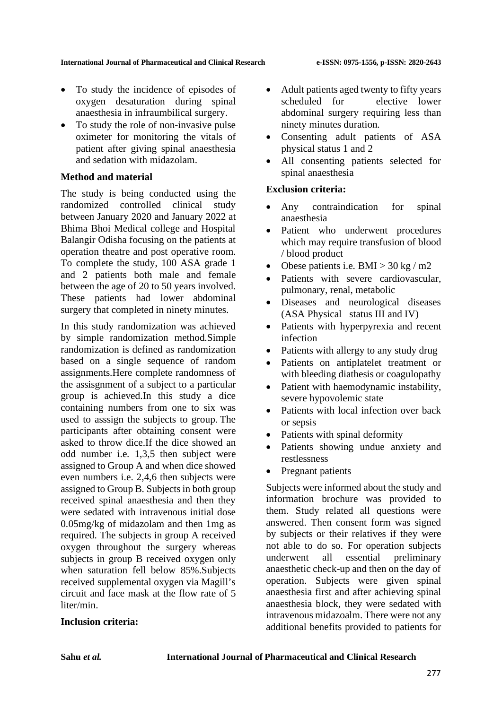#### **International Journal of Pharmaceutical and Clinical Research e-ISSN: 0975-1556, p-ISSN: 2820-2643**

- To study the incidence of episodes of oxygen desaturation during spinal anaesthesia in infraumbilical surgery.
- To study the role of non-invasive pulse oximeter for monitoring the vitals of patient after giving spinal anaesthesia and sedation with midazolam.

### **Method and material**

The study is being conducted using the randomized controlled clinical study between January 2020 and January 2022 at Bhima Bhoi Medical college and Hospital Balangir Odisha focusing on the patients at operation theatre and post operative room. To complete the study, 100 ASA grade 1 and 2 patients both male and female between the age of 20 to 50 years involved. These patients had lower abdominal surgery that completed in ninety minutes.

In this study randomization was achieved by simple randomization method.Simple randomization is defined as randomization based on a single sequence of random assignments.Here complete randomness of the assisgnment of a subject to a particular group is achieved.In this study a dice containing numbers from one to six was used to asssign the subjects to group. The participants after obtaining consent were asked to throw dice.If the dice showed an odd number i.e. 1,3,5 then subject were assigned to Group A and when dice showed even numbers i.e. 2,4,6 then subjects were assigned to Group B. Subjects in both group received spinal anaesthesia and then they were sedated with intravenous initial dose 0.05mg/kg of midazolam and then 1mg as required. The subjects in group A received oxygen throughout the surgery whereas subjects in group B received oxygen only when saturation fell below 85%.Subjects received supplemental oxygen via Magill's circuit and face mask at the flow rate of 5 liter/min.

- Adult patients aged twenty to fifty years scheduled for elective lower abdominal surgery requiring less than ninety minutes duration.
- Consenting adult patients of ASA physical status 1 and 2
- All consenting patients selected for spinal anaesthesia

### **Exclusion criteria:**

- Any contraindication for spinal anaesthesia
- Patient who underwent procedures which may require transfusion of blood / blood product
- Obese patients i.e.  $BMI > 30 \text{ kg} / \text{m2}$
- Patients with severe cardiovascular, pulmonary, renal, metabolic
- Diseases and neurological diseases (ASA Physical status III and IV)
- Patients with hyperpyrexia and recent infection
- Patients with allergy to any study drug
- Patients on antiplatelet treatment or with bleeding diathesis or coagulopathy
- Patient with haemodynamic instability, severe hypovolemic state
- Patients with local infection over back or sepsis
- Patients with spinal deformity
- Patients showing undue anxiety and restlessness
- Pregnant patients

Subjects were informed about the study and information brochure was provided to them. Study related all questions were answered. Then consent form was signed by subjects or their relatives if they were not able to do so. For operation subjects underwent all essential preliminary anaesthetic check-up and then on the day of operation. Subjects were given spinal anaesthesia first and after achieving spinal anaesthesia block, they were sedated with intravenous midazoalm. There were not any additional benefits provided to patients for

#### **Inclusion criteria:**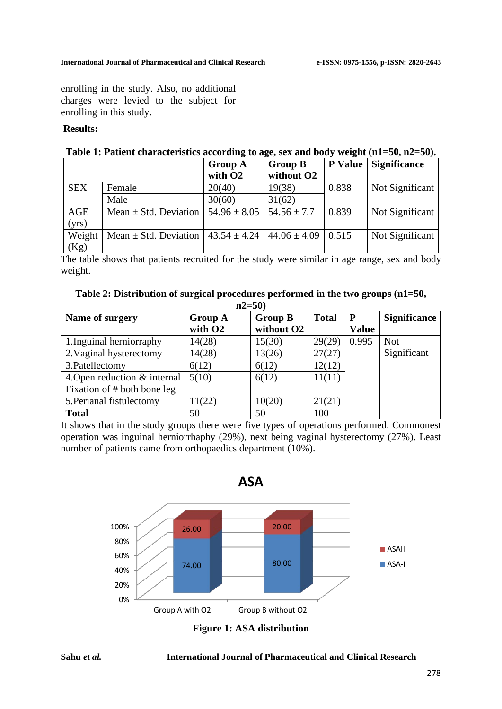enrolling in the study. Also, no additional charges were levied to the subject for enrolling in this study.

# **Results:**

|            |                           | <b>Group A</b>      | <b>Group B</b>                      | <b>P</b> Value | <b>Significance</b> |
|------------|---------------------------|---------------------|-------------------------------------|----------------|---------------------|
|            |                           | with O <sub>2</sub> | without O <sub>2</sub>              |                |                     |
| <b>SEX</b> | Female                    | 20(40)              | 19(38)                              | 0.838          | Not Significant     |
|            | Male                      | 30(60)              | 31(62)                              |                |                     |
| AGE        | Mean $\pm$ Std. Deviation | $54.96 \pm 8.05$    | $54.56 \pm 7.7$                     | 0.839          | Not Significant     |
| (yrs)      |                           |                     |                                     |                |                     |
| Weight     | Mean $\pm$ Std. Deviation |                     | $43.54 \pm 4.24$   $44.06 \pm 4.09$ | 0.515          | Not Significant     |
| (Kg)       |                           |                     |                                     |                |                     |

The table shows that patients recruited for the study were similar in age range, sex and body weight.

| Table 2: Distribution of surgical procedures performed in the two groups (n1=50, |  |
|----------------------------------------------------------------------------------|--|
| $-2E(0)$                                                                         |  |

| 114=3V                       |                     |                |              |              |                     |  |  |  |
|------------------------------|---------------------|----------------|--------------|--------------|---------------------|--|--|--|
| Name of surgery              | <b>Group A</b>      | <b>Group B</b> | <b>Total</b> | P            | <b>Significance</b> |  |  |  |
|                              | with O <sub>2</sub> | without O2     |              | <b>Value</b> |                     |  |  |  |
| 1. Inguinal herniorraphy     | 14(28)              | 15(30)         | 29(29)       | 0.995        | <b>Not</b>          |  |  |  |
| 2. Vaginal hysterectomy      | 14(28)              | 13(26)         | 27(27)       |              | Significant         |  |  |  |
| 3. Patellectomy              | 6(12)               | 6(12)          | 12(12)       |              |                     |  |  |  |
| 4. Open reduction & internal | 5(10)               | 6(12)          | 11(11)       |              |                     |  |  |  |
| Fixation of # both bone leg  |                     |                |              |              |                     |  |  |  |
| 5. Perianal fistulectomy     | 11(22)              | 10(20)         | 21(21)       |              |                     |  |  |  |
| <b>Total</b>                 | 50                  | 50             | 100          |              |                     |  |  |  |

It shows that in the study groups there were five types of operations performed. Commonest operation was inguinal herniorrhaphy (29%), next being vaginal hysterectomy (27%). Least number of patients came from orthopaedics department (10%).



**Figure 1: ASA distribution**

#### **Sahu** *et al.* **International Journal of Pharmaceutical and Clinical Research**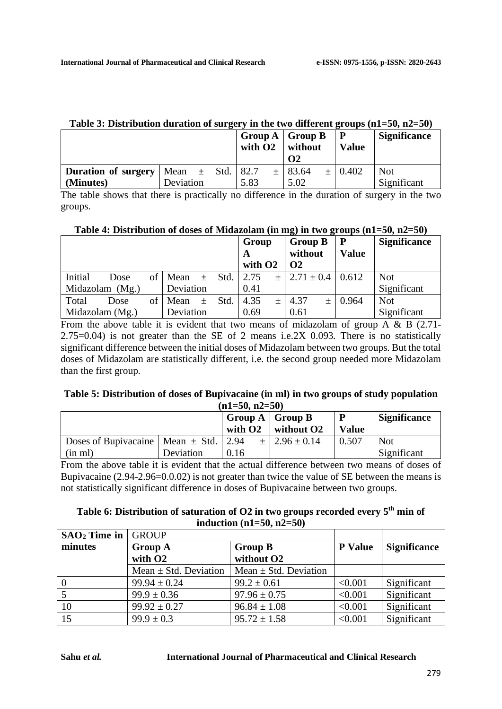| Table 5: Distribution duration of surgery in the two different groups ( $n1=50$ , $n2=50$ ) |           |  |  |           |  |                          |  |              |                     |
|---------------------------------------------------------------------------------------------|-----------|--|--|-----------|--|--------------------------|--|--------------|---------------------|
|                                                                                             |           |  |  |           |  | Group $A \mid$ Group $B$ |  | P            | <b>Significance</b> |
|                                                                                             |           |  |  | with $O2$ |  | without                  |  | <b>Value</b> |                     |
|                                                                                             |           |  |  |           |  | $\Omega$                 |  |              |                     |
| <b>Duration of surgery</b>   Mean $\pm$ Std.   82.7                                         |           |  |  |           |  | $±$ 83.64                |  | $\pm$ 0.402  | <b>Not</b>          |
| (Minutes)                                                                                   | Deviation |  |  | 5.83      |  | 5.02                     |  |              | Significant         |

# **Table 3: Distribution duration of surgery in the two different groups (n1=50, n2=50)**

The table shows that there is practically no difference in the duration of surgery in the two groups.

| Table 4: Distribution of doses of Midazolam (in mg) in two groups $(n1=50, n2=50)$ |  |  |
|------------------------------------------------------------------------------------|--|--|
|------------------------------------------------------------------------------------|--|--|

|                 |                 |                 |           |       |      | Group               |        | <b>Group B</b> |     | P            | <b>Significance</b> |
|-----------------|-----------------|-----------------|-----------|-------|------|---------------------|--------|----------------|-----|--------------|---------------------|
|                 |                 |                 |           |       |      | A                   |        | without        |     | <b>Value</b> |                     |
|                 |                 |                 |           |       |      | with O <sub>2</sub> |        | $\Omega$       |     |              |                     |
| Initial         | Dose            | of <sub>l</sub> | Mean      | 土     | Std. | 2.75                | $+$    | $2.71 \pm 0.4$ |     | 0.612        | <b>Not</b>          |
| Midazolam (Mg.) |                 |                 | Deviation |       |      | 0.41                |        |                |     |              | Significant         |
| Total           | Dose            | of              | Mean      | $\pm$ | Std. | 4.35                | $^{+}$ | 4.37           | $+$ | 0.964        | <b>Not</b>          |
|                 | Midazolam (Mg.) |                 | Deviation |       |      | 0.69                |        | 0.61           |     |              | Significant         |

From the above table it is evident that two means of midazolam of group A & B (2.71-2.75=0.04) is not greater than the SE of 2 means i.e.2X 0.093. There is no statistically significant difference between the initial doses of Midazolam between two groups. But the total doses of Midazolam are statistically different, i.e. the second group needed more Midazolam than the first group.

#### **Table 5: Distribution of doses of Bupivacaine (in ml) in two groups of study population (n1=50, n2=50)**

|                                               |           |      | $\left  \right $ Group A $\left  \right $ Group B<br>with $O2 \parallel$ without $O2$ | D<br><b>Value</b> | <b>Significance</b> |
|-----------------------------------------------|-----------|------|---------------------------------------------------------------------------------------|-------------------|---------------------|
| Doses of Bupivacaine   Mean $\pm$ Std.   2.94 |           |      | $\pm$ 2.96 $\pm$ 0.14                                                                 | 0.507             | <b>Not</b>          |
| (in ml)                                       | Deviation | 0.16 |                                                                                       |                   | Significant         |

From the above table it is evident that the actual difference between two means of doses of Bupivacaine (2.94-2.96=0.0.02) is not greater than twice the value of SE between the means is not statistically significant difference in doses of Bupivacaine between two groups.

## **Table 6: Distribution of saturation of O2 in two groups recorded every 5th min of induction (n1=50, n2=50)**

| $SAO2$ Time in | <b>GROUP</b>              |                           |                     |             |
|----------------|---------------------------|---------------------------|---------------------|-------------|
| minutes        | <b>Group A</b>            | <b>P</b> Value            | <b>Significance</b> |             |
|                | with O <sub>2</sub>       | without O <sub>2</sub>    |                     |             |
|                | Mean $\pm$ Std. Deviation | Mean $\pm$ Std. Deviation |                     |             |
| $\overline{0}$ | $99.94 \pm 0.24$          | $99.2 \pm 0.61$           | < 0.001             | Significant |
|                | $99.9 \pm 0.36$           | $97.96 \pm 0.75$          | < 0.001             | Significant |
| 10             | $99.92 \pm 0.27$          | $96.84 \pm 1.08$          | < 0.001             | Significant |
| 15             | $99.9 \pm 0.3$            | $95.72 \pm 1.58$          | < 0.001             | Significant |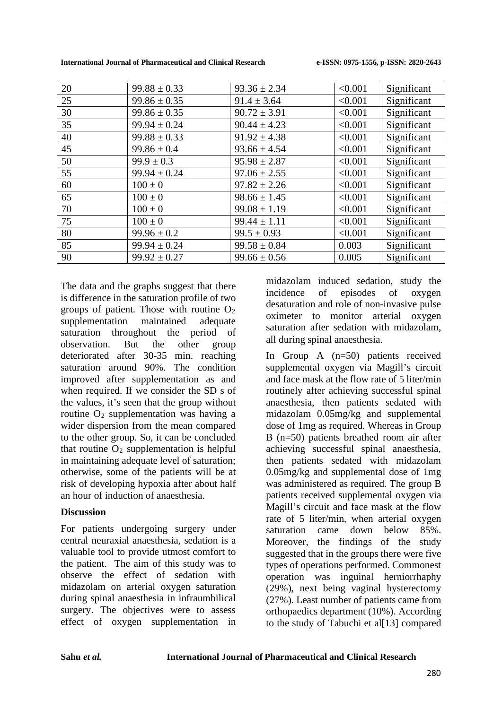**International Journal of Pharmaceutical and Clinical Research e-ISSN: 0975-1556, p-ISSN: 2820-2643**

| 20 | $99.88 \pm 0.33$ | $93.36 \pm 2.34$ | < 0.001 | Significant |
|----|------------------|------------------|---------|-------------|
| 25 | $99.86 \pm 0.35$ | $91.4 \pm 3.64$  | < 0.001 | Significant |
| 30 | $99.86 \pm 0.35$ | $90.72 \pm 3.91$ | < 0.001 | Significant |
| 35 | $99.94 \pm 0.24$ | $90.44 \pm 4.23$ | < 0.001 | Significant |
| 40 | $99.88 \pm 0.33$ | $91.92 \pm 4.38$ | < 0.001 | Significant |
| 45 | $99.86 \pm 0.4$  | $93.66 \pm 4.54$ | < 0.001 | Significant |
| 50 | $99.9 \pm 0.3$   | $95.98 \pm 2.87$ | < 0.001 | Significant |
| 55 | $99.94 \pm 0.24$ | $97.06 \pm 2.55$ | < 0.001 | Significant |
| 60 | $100 \pm 0$      | $97.82 \pm 2.26$ | < 0.001 | Significant |
| 65 | $100 \pm 0$      | $98.66 \pm 1.45$ | < 0.001 | Significant |
| 70 | $100 \pm 0$      | $99.08 \pm 1.19$ | < 0.001 | Significant |
| 75 | $100 \pm 0$      | $99.44 \pm 1.11$ | < 0.001 | Significant |
| 80 | $99.96 \pm 0.2$  | $99.5 \pm 0.93$  | < 0.001 | Significant |
| 85 | $99.94 \pm 0.24$ | $99.58 \pm 0.84$ | 0.003   | Significant |
| 90 | $99.92 \pm 0.27$ | $99.66 \pm 0.56$ | 0.005   | Significant |

The data and the graphs suggest that there is difference in the saturation profile of two groups of patient. Those with routine  $O_2$ supplementation maintained adequate saturation throughout the period of observation. But the other group deteriorated after 30-35 min. reaching saturation around 90%. The condition improved after supplementation as and when required. If we consider the SD s of the values, it's seen that the group without routine  $O_2$  supplementation was having a wider dispersion from the mean compared to the other group. So, it can be concluded that routine  $O_2$  supplementation is helpful in maintaining adequate level of saturation; otherwise, some of the patients will be at risk of developing hypoxia after about half an hour of induction of anaesthesia.

# **Discussion**

For patients undergoing surgery under central neuraxial anaesthesia, sedation is a valuable tool to provide utmost comfort to the patient. The aim of this study was to observe the effect of sedation with midazolam on arterial oxygen saturation during spinal anaesthesia in infraumbilical surgery. The objectives were to assess effect of oxygen supplementation in midazolam induced sedation, study the incidence of episodes of oxygen desaturation and role of non-invasive pulse oximeter to monitor arterial oxygen saturation after sedation with midazolam, all during spinal anaesthesia.

In Group A (n=50) patients received supplemental oxygen via Magill's circuit and face mask at the flow rate of 5 liter/min routinely after achieving successful spinal anaesthesia, then patients sedated with midazolam 0.05mg/kg and supplemental dose of 1mg as required. Whereas in Group B (n=50) patients breathed room air after achieving successful spinal anaesthesia, then patients sedated with midazolam 0.05mg/kg and supplemental dose of 1mg was administered as required. The group B patients received supplemental oxygen via Magill's circuit and face mask at the flow rate of 5 liter/min, when arterial oxygen saturation came down below 85%. Moreover, the findings of the study suggested that in the groups there were five types of operations performed. Commonest operation was inguinal herniorrhaphy (29%), next being vaginal hysterectomy (27%). Least number of patients came from orthopaedics department (10%). According to the study of Tabuchi et all 131 compared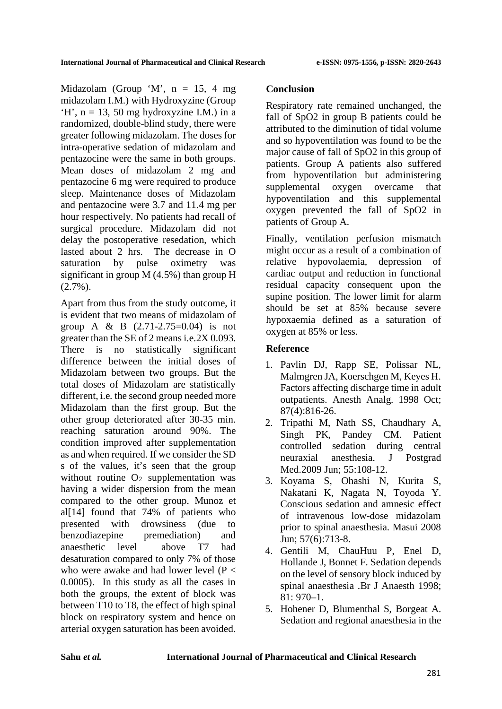Midazolam (Group  $^{\circ}$ M', n = 15, 4 mg) midazolam I.M.) with Hydroxyzine (Group  $H'$ , n = 13, 50 mg hydroxyzine I.M.) in a randomized, double-blind study, there were greater following midazolam. The doses for intra-operative sedation of midazolam and pentazocine were the same in both groups. Mean doses of midazolam 2 mg and pentazocine 6 mg were required to produce sleep. Maintenance doses of Midazolam and pentazocine were 3.7 and 11.4 mg per hour respectively. No patients had recall of surgical procedure. Midazolam did not delay the postoperative resedation, which lasted about 2 hrs. The decrease in O saturation by pulse oximetry was significant in group M (4.5%) than group H  $(2.7\%)$ .

Apart from thus from the study outcome, it is evident that two means of midazolam of group A & B (2.71-2.75=0.04) is not greater than the SE of 2 means i.e.2X 0.093. There is no statistically significant difference between the initial doses of Midazolam between two groups. But the total doses of Midazolam are statistically different, i.e. the second group needed more Midazolam than the first group. But the other group deteriorated after 30-35 min. reaching saturation around 90%. The condition improved after supplementation as and when required. If we consider the SD s of the values, it's seen that the group without routine  $O<sub>2</sub>$  supplementation was having a wider dispersion from the mean compared to the other group. Munoz et al $[14]$  found that 74% of patients who presented with drowsiness (due to benzodiazepine premediation) and anaesthetic level above T7 had desaturation compared to only 7% of those who were awake and had lower level (P < 0.0005). In this study as all the cases in both the groups, the extent of block was between T10 to T8, the effect of high spinal block on respiratory system and hence on arterial oxygen saturation has been avoided.

# **Conclusion**

Respiratory rate remained unchanged, the fall of SpO2 in group B patients could be attributed to the diminution of tidal volume and so hypoventilation was found to be the major cause of fall of SpO2 in this group of patients. Group A patients also suffered from hypoventilation but administering supplemental oxygen overcame that hypoventilation and this supplemental oxygen prevented the fall of SpO2 in patients of Group A.

Finally, ventilation perfusion mismatch might occur as a result of a combination of relative hypovolaemia, depression of cardiac output and reduction in functional residual capacity consequent upon the supine position. The lower limit for alarm should be set at 85% because severe hypoxaemia defined as a saturation of oxygen at 85% or less.

# **Reference**

- 1. Pavlin DJ, Rapp SE, Polissar NL, Malmgren JA, Koerschgen M, Keyes H. Factors affecting discharge time in adult outpatients. Anesth Analg. 1998 Oct; 87(4):816-26.
- 2. Tripathi M, Nath SS, Chaudhary A, Singh PK, Pandey CM. Patient controlled sedation during central neuraxial anesthesia. J Postgrad Med.2009 Jun; 55:108-12.
- 3. Koyama S, Ohashi N, Kurita S, Nakatani K, Nagata N, Toyoda Y. Conscious sedation and amnesic effect of intravenous low-dose midazolam prior to spinal anaesthesia. Masui 2008 Jun; 57(6):713-8.
- 4. Gentili M, ChauHuu P, Enel D, Hollande J, Bonnet F. Sedation depends on the level of sensory block induced by spinal anaesthesia .Br J Anaesth 1998; 81: 970–1.
- 5. Hohener D, Blumenthal S, Borgeat A. Sedation and regional anaesthesia in the